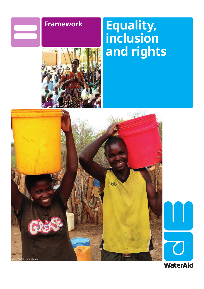

# **Framework Equality, inclusion and rights**





**WaterAid**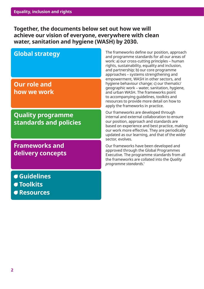**Together, the documents below set out how we will achieve our vision of everyone, everywhere with clean water, sanitation and hygiene (WASH) by 2030.**

# **Global strategy**

**Our role and how we work**

**Quality programme standards and policies**

**Frameworks and delivery concepts**

 **Guidelines** 

- **Toolkits**
- **Resources**

The frameworks define our position, approach and programme standards for all our areas of work: a) our cross-cutting principles – human rights, sustainability, equality and inclusion, and partnership; b) our core programme approaches – systems strengthening and empowerment, WASH in other sectors, and hygiene behaviour change; c) our thematic/ geographic work – water, sanitation, hygiene, and urban WASH. The frameworks point to accompanying guidelines, toolkits and resources to provide more detail on how to apply the frameworks in practice.

Our frameworks are developed through internal and external collaboration to ensure our position, approach and standards are based on experience and best practice, making our work more effective. They are periodically updated as our learning, and that of the wider sector, evolves.

Our frameworks have been developed and approved through the Global Programmes Executive. The programme standards from all the frameworks are collated into the *Quality programme standards*. 1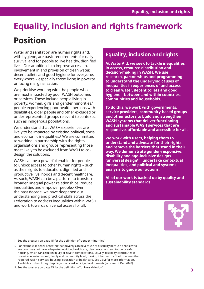# **Equality, inclusion and rights framework Position**

Water and sanitation are human rights and, with hygiene, are basic requirements for daily survival and for people to live healthy, dignified lives. Our ambition is to improve access to, involvement in and provision of clean water, decent toilets and good hygiene for everyone, everywhere – especially those living in poverty or facing marginalisation.

We prioritise working with the people who are most impacted by poor WASH outcomes or services. These include people living in poverty, women, girls and gender minorities,<sup>i</sup> people experiencing poor health, persons with disabilities, older people and other excluded or underrepresented groups relevant to contexts, such as indigenous populations.

We understand that WASH experiences are likely to be impacted by existing political, social and economic inequalities.<sup>ii</sup> We are committed to working in partnership with the rights organisations and groups representing those most likely to be excluded from WASH to codesign the solutions.

WASH can be a powerful enabler for people to unlock access to other human rights – such as their rights to education, dignified and productive livelihoods and decent healthcare. As such, WASH can be a platform to transform broader unequal power relationships, reduce inequalities and empower people.<sup>2</sup> Over the past decade, we have deepened our understanding and practical skills across the Federation to address inequalities within WASH and work towards universal access for all.

# **Equality, inclusion and rights**

**At WaterAid, we seek to tackle inequalities in access, resource distribution and decision-making in WASH. We use research, partnerships and programming to understand the underlying causes of inequalities in experiences of and access to clean water, decent toilets and good hygiene – between and within countries, communities and households.** 

**To do this, we work with governments, service providers, community-based groups and other actors to build and strengthen WASH systems that deliver functioning and sustainable WASH services that are responsive, affordable and accessible for all.** 

**We work with users, helping them to understand and advocate for their rights and remove the barriers that stand in their way. We demonstrate gender-responsive, disability and age-inclusive designs (universal designiii), undertake contextual inequalities, and political and systems analysis to guide our actions.** 

**All of our work is backed up by quality and sustainability standards.**



i. See the glossary on page 15 for the definition of 'gender minorities'.

ii. For example, it is well accepted that poverty can be a cause of disability because people who are poor may not have adequate nutrition, healthcare, clean water and sanitation or safe housing, which can result in injury or health complications. Equally, disability contributes to poverty on an individual, family and community level, making it harder to afford or access the required WASH services, housing, education or healthcare. See CBM for more information. Available at: cbmuk.org.uk/policy-practice/disability-development/ (accessed 7 Dec 2020).

iii. See the glossary on page 15 for the definition of 'universal design'.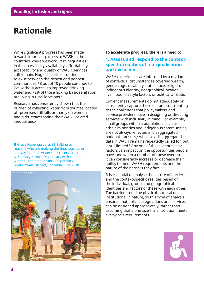# **Rationale**

While significant progress has been made towards improving access to WASH in the countries where we work, vast inequalities in the accessibility, availability, affordability, acceptability and quality of WASH services still remain. Huge disparities continue to exist between the richest and poorest communities.<sup>3</sup> 8 out of 10 people continue to live without access to improved drinking water and 72% of those lacking basic sanitation are living in rural locations.<sup>4</sup>

Research has consistently shown that the burden of collecting water from sources located off-premises still falls primarily on women and girls, exacerbating their WASH-related inequalities.5

Grace Nabenga Lufu, 31, talking to masons who are making the final touches on a newly installed water tank reservoir that will supply Kakora Dispensary with constant water all the time, Kakora Dispensary, Nyanghwale District, Tanzania, June 2018.



#### **To accelerate progress, there is a need to:**

### **1. Assess and respond to the contextspecific realities of marginalisation and exclusion.**

WASH experiences are informed by a myriad of contextual circumstances covering wealth, gender, age, disability status, race, religion, indigenous identity, geographical location, livelihood, lifestyle factors or political affiliation.

Current measurements do not adequately or consistently capture these factors, contributing to the challenges that policymakers and service providers have in designing or directing services with inclusivity in mind. For example, small groups within a population, such as ethnic minorities and indigenous communities, are not always reflected in disaggregated national statistics,<sup>4</sup> while sex-disaggregated data in WASH remains repeatedly called for, but is still limited.<sup>6</sup> Any one of these identities or factors can impact on the opportunities people have, and when a number of these overlap, it can considerably increase or decrease their ability to meet WASH requirements and the nature of the barriers they face.

It is essential to analyse the nature of barriers and the context-specific realities based on the individual, group, and geographical identities and factors of these with each other. The barriers could be physical, societal or institutional in nature, so this type of analysis ensures that policies, regulations and services can be designed appropriately, rather than assuming that a one-size-fits all solution meets everyone's requirements.

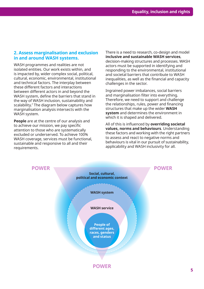### **2. Assess marginalisation and exclusion in and around WASH systems.**

WASH programmes and realities are not isolated entities. Our work exists within, and is impacted by, wider complex social, political, cultural, economic, environmental, institutional and technical factors. The interplay between these different factors and interactions between different actors in and beyond the WASH system, define the barriers that stand in the way of WASH inclusion, sustainability and scalability.7 The diagram below captures how marginalisation analysis intersects with the WASH system.

**People** are at the centre of our analysis and to achieve our mission, we pay specific attention to those who are systematically excluded or underserved. To achieve 100% WASH coverage, services must be functional, sustainable and responsive to all and their requirements.

There is a need to research, co-design and model **inclusive and sustainable WASH services**, decision-making structures and processes. WASH actors must be supported in identifying and responding to the environmental, institutional and societal barriers that contribute to WASH inequalities, as well as the financial and capacity challenges in the sector.

Ingrained power imbalances, social barriers and marginalisation filter into everything. Therefore, we need to support and challenge the relationships, rules, power and financing structures that make up the wider **WASH system** and determines the environment in which it is shaped and delivered.

All of this is influenced by **overriding societal values, norms and behaviours**. Understanding these factors and working with the right partners to assess and react to negative norms and behaviours is vital in our pursuit of sustainability, applicability and WASH inclusivity for all.

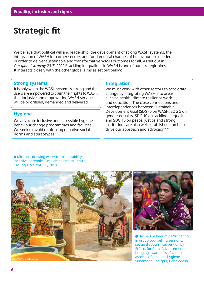# **Strategic fit**

We believe that political will and leadership, the development of strong WASH systems, the integration of WASH into other sectors and fundamental changes of behaviour are needed in order to deliver sustainable and transformative WASH outcomes for all. As set out in *Our global strategy 2015–2022*, $^8$  tackling inequalities in WASH is one of our strategic aims. It interacts closely with the other global aims as set out below:

### **Strong systems**

It is only when the WASH system is strong and the users are empowered to claim their rights to WASH, that inclusive and empowering WASH services will be prioritised, demanded and delivered.

### **Hygiene**

We advocate inclusive and accessible hygiene behaviour change programmes and facilities. We seek to avoid reinforcing negative social norms and stereotypes.

### **Integration**

We must work with other sectors to accelerate change by integrating WASH into areas such as health, climate resilience work and education. The close connections and interdependences between Sustainable Development Goal (SDG) 6 on WASH, SDG 5 on gender equality, SDG 10 on tackling inequalities and SDG 16 on peace, justice and strong institutions are also well established and help drive our approach and advocacy.<sup>9,10</sup>

Mickson, drawing water from a disabilityinclusive borehole, Simulemba Health Centre, Kasungu, Malawi, July 2018.





Husne Ara Begum participating in group counselling sessions, set up through intervention by Efforts for Rural Advancement, bringing awareness of various aspects of personal hygiene in Sunamganj Tahirpur, Bangladesh.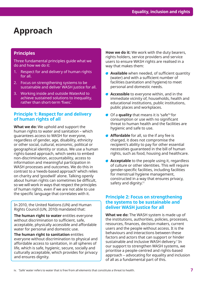# **Approach**

### **Principles**

Three fundamental principles guide what we do and how we do it:

- 1. Respect for and delivery of human rights for all.
- 2. Focus on strengthening systems to be sustainable and deliver WASH justice for all.
- 3. Working inside and outside WaterAid to achieve sustained solutions to inequality, rather than short-term 'fixes'.

### **Principle 1: Respect for and delivery of human rights of all**

**What we do:** We uphold and support the human rights to water and sanitation – which guarantees access to WASH for everyone, regardless of gender, age, disability, ethnicity or other social, cultural, economic, political or geographical identity or status. We use a human rights-based approach, which seeks to embed non-discrimination, accountability, access to information and meaningful participation in WASH processes and outcomes. We do this in contrast to a 'needs-based approach' which relies on charity and 'goodwill' alone. Talking openly about human rights can sometimes be difficult, so we will work in ways that respect the principles of human rights, even if we are not able to use the specific language that correlates with it.

In 2010, the United Nations (UN) and Human Rights Council (UN, 2010) mandated that:

**The human right to water** entitles everyone without discrimination to sufficient, safe, acceptable, physically accessible and affordable water for personal and domestic use.

**The human right to sanitation** entitles everyone without discrimination to physical and affordable access to sanitation, in all spheres of life, which is safe, hygienic, secure, socially and culturally acceptable, which provides for privacy and ensures dignity.

**How we do it:** We work with the duty bearers, rights holders, service providers and service users to ensure WASH rights are realised in a way that makes them:

- **Available** when needed, of sufficient quantity (water) and with a sufficient number of facilities (sanitation and hygiene) to meet personal and domestic needs.
- **Accessible** to everyone within, and in the immediate vicinity of, households, health and educational institutions, public institutions, public places and workplaces.
- Of a **quality** that means it is 'safe'iv for consumption or use with no significant threat to human health and the facilities are hygienic and safe to use.
- **Affordable** for all, so the if any fee is charged, it does not compromise the recipient's ability to pay for other essential necessities guaranteed in the bill of human rights, such as food, housing and healthcare.
- **Acceptable** to the people using it, regardless of culture or other identities. This will require gender-specific facilities, including facilities for menstrual hygiene management, constructed in a way that ensures privacy, safety and dignity.<sup>11</sup>

### **Principle 2: Focus on strengthening the systems to be sustainable and deliver WASH justice for all**

**What we do:** The WASH system is made up of the institutions, authorities, policies, processes, resources, finances, decision makers, current users and the people without access. It is the behaviours and interactions between these factors and actors that can support or hinder sustainable and inclusive WASH delivery.<sup>7</sup> In our support to strengthen WASH systems, we prioritise a people-centred and rights-based approach – advocating for equality and inclusion of all as a fundamental part of this.

iv. 'Safe' water refers to water that is free from all elements that constitute a threat to health.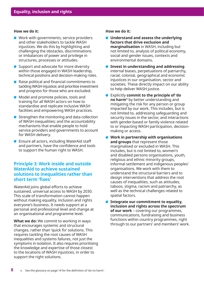#### **How we do it:**

- Work with governments, service providers  $\sqrt{2}$ and other stakeholders to tackle WASH injustices. We do this by highlighting and challenging the obstacles, discriminations or imbalances of power and privilege in structures, processes or attitudes.
- Support and advocate for more diversity within those engaged in WASH leadership, technical positions and decision-making roles.
- Raise political and financial commitments to tackling WASH injustice; and prioritise investment and progress for those who are excluded.
- Model and promote policies, tools and training for all WASH actors on how to standardise and replicate inclusive WASH facilities and empowering WASH practices.
- Strengthen the monitoring and data collection of WASH inequalities; and the accountability mechanisms that enable people to hold service providers and governments to account for WASH delivery.
- Ensure all actors, including WaterAid staff and partners, have the confidence and tools to support the human right to WASH.

### **Principle 3: Work inside and outside WaterAid to achieve sustained solutions to inequalities rather than short term 'fixes'**

WaterAid joins global efforts to achieve sustained, universal access to WASH by 2030. This scale of transformation cannot happen without making equality, inclusion and rights everyone's business. It needs support at a personal and professional level and change at an organisational and programme level.

**What we do:** We commit to working in ways that encourages systemic and structural changes, rather than 'quick fix' solutions. This requires tackling the root causes of WASH inequalities and systems failures, not just the symptoms in isolation. It also requires prioritising the knowledge and expertise of those closest to the locations of WASH injustices, in order to support the right solutions.

#### **How we do it:**

- **Understand and assess the underlying factors that drive exclusion and marginalisation** in WASH, including but not limited to, analysis of political economy, social and gender issues, contexts and environmental domains.
- **Invest in understanding and addressing**  internal biases, perpetuations of patriarchy, racial, colonial, geographical and economic injustices in our organisation, sector and societies. These directly impact on our ability to help deliver WASH justice.
- Explicitly **commit to the principle of 'do no harm'**v by better understanding and mitigating the risk for any person or group impacted by our work. This includes, but is not limited to, addressing safeguarding and security issues in the sector, and interactions with gender-based or family violence related to or impacting WASH participation, decisionmaking or access.
- **Work in partnership with organisations and groups** that represent those marginalised or excluded in WASH. This includes, but is not limited to, women's and disabled persons organisations, youth, religious and ethnic minority groups, informal settlement and indigenous peoples' organisations. We work with them to understand the structural barriers and to design interventions that address the root causes of inequalities, such as attitudes, taboos, stigma, racism and patriarchy, as well as the technical challenges related to spatial factors.
- **Integrate our commitment to equality, inclusion and rights across the spectrum of our work** – covering our programmes, communications, fundraising and business functions within country programmes, right through to our partners' and members' work.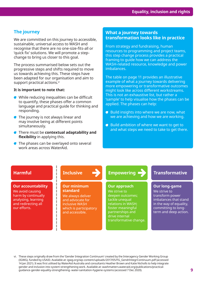### **The journey**

We are committed on this journey to accessible, sustainable, universal access to WASH and recognise that there are no one-size-fits-all or 'quick fix' solutions. We will promote a stepchange to bring us closer to this goal.

The process summarised below sets out the progressive steps and shifts required to move us towards achieving this. These steps have been adapted for our organisation and aim to support practical actions.vi

### **It is important to note that:**

- While reducing inequalities can be difficult to quantify, these phases offer a common language and practical guide for thinking and responding.
- **The journey is not always linear and** may involve being at different points simultaneously.
- There must be **contextual adaptability and flexibility** in applying this.

D ı

-1 **I** I 1 ı 1  $\begin{matrix} \end{matrix}$  $\mathbf{I}$ ı -1 1

**The phases can be overlayed onto several** work areas across WaterAid.

### **What a journey towards transformation looks like in practice**

From strategy and fundraising, human resources to programming and project teams, this step change process provides a practical framing to guide how we can address the WASH-related resource, knowledge and power imbalances.

The table on page 11 provides an illustrative example of what a journey towards delivering more empowering or transformative outcomes might look like across different workstreams. This is not an exhaustive list, but rather a 'sample' to help visualise how the phases can be applied. The phases can help:

- Build insights into where we are now, what we are achieving and how we are working.
- Build ambition of where we want to get to and what steps we need to take to get there.

### **Harmful**

### **Our accountability**

We avoid causing harm by continually analysing, learning and redirecting all our efforts.

# **Inclusive**

#### **Our minimum standard**

We always deliver and advocate for inclusive WASH which is participatory and accessible.

# **Empowering**

### **Our approach**

We strive to deepen outcomes; tackle unequal relations in WASH; foster meaningful partnerships and drive internal transformative change.

# **Transformative**

### **Our long-game**

We strive to transform power imbalances that stand in the way of equality, committing to longterm and deep action.

vi. These steps originally draw from the 'Gender Integration Continuum' created by the Interagency Gender Working Group (IGWG), funded by USAID. Available at: igwg.org/wp-content/uploads/2017/05/FG\_GendrIntegrContinuum.pdf (accessed 14 Jan 2021). It was first utilised by WaterAid Australia and consultants Heather Brown and Katie Nicholls to help integrate gender and inclusion into system strengthening work. Available at: washmatters.wateraid.org/publications/practicalguidance-gender-equality-strengthening- water-sanitation-hygiene-systems (accessed 7 Dec 2020).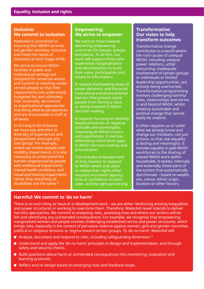### **Inclusive: We commit to inclusion**

WaterAid is committed to ensuring that WASH services are gender-sensitive, inclusive and meet the needs of everyone at each stage of life.

We strive to ensure WASH facilities in public and institutional settings are designed for universal access and commit to reaching underserved people so that their requirements are understood, budgeted for and ultimately met. Internally, we commit to organisational approaches that bring diverse perspectives and are accountable to staff at all levels.

In striving to be inclusive, we must pay attention to diversity of experiences and perspectives amongst any one 'group'. For example, where we involve people with mobility impairments, it is also necessary to understand the barriers experienced by people with intellectual impairments, mental health conditions, and visual and hearing impairments, rather than assuming all disabilities are the same.<sup>13</sup>

### **Empowering: We strive to empower**

We want to move towards delivering empowering outcomes for people, groups and places. To do this, our work will support those who experience marginalisation and discrimination to build their voice, participation and access to information.

It requires the breaking down of power dynamics, and the social, institutional and environmental barriers that prevent some people from having a voice or being involved in WASH decision-making.

It requires focusing on tackling biased processes or negative attitudes and stereotypes, impacting on WASH actions and experiences. It involves addressing information gaps in WASH decision-making and prioritisation.

This includes empowerment of duty bearers to respond to WASH needs and users to realise their rights often requires increased capacity, time or confidence on both sides, and the right partnership.

### **Transformative: Our vision to help transform outcomes**

Transformative change contributes to a world where the root causes of unequal WASH, including unequal power relations, unfair resourcing, inadequate involvement of certain groups or individuals or limited leadership opportunities, are actively being overturned. Transformative programming involves challenging harmful roles, relationships and norms in and beyond WASH, whilst creating sustainable and positive change that cannot easily be undone.

It often requires us to 'undo' what we already know and change our mindsets, not just actions, so that real equality is lasting and meaningful. It includes equality in paid WASH workforces to the sharing of unpaid WASH work within households. It tackles, internally and externally, those parts of the system that systematically discriminate – based on wealth, sex, colour, ethnic origin, location or other factors.

### **Harmful: We commit to 'do no harm'**

There is no such thing as 'neutral' in development work – we are either reinforcing existing inequalities and power structures or working to overcome them. Therefore, WaterAid never intends to deliver harmful approaches. We commit to analysing risks, assessing how and where our actions will be felt and identifying any unintended consequences. For example, we recognise that empowering marginalised women and people involves challenging established norms and power structures, which brings risks, especially in the context of pervasive violence against women, girls and gender minorities, political or religious tensions or stigma toward certain groups. To 'do no harm', WaterAid will:

- Analyse, document and respond to risks, including safeguarding dimension.<sup>12</sup>
- Understand and apply the 'do no harm' principles in design and implementation, and through safety and security checks.
- Build questions about harm or unintended consequences into monitoring, evaluation and learning protocols.
- Reflect and re-design based on emerging risks and feedback loops.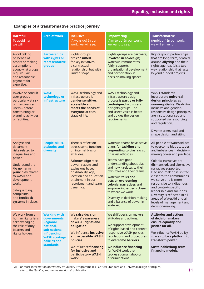# **Examples of a transformative practice journey**

| <b>Harmful</b><br>To avoid harm,<br>we will:                                                                                                                                                                                                        | <b>Area of work</b>                                                                                                                                                     | <b>Inclusive</b><br>(Always do) In our<br>work, we will see:                                                                                                                                                                                                | <b>Empowering</b><br>(Aim to do) In our work,<br>we want to see:                                                                                                                                                                                                                                                                                                                                                          | <b>Transformative</b><br>(Ambition) In our work,<br>we will strive for:                                                                                                                                                                                                                                                                                                                                                                                                                     |
|-----------------------------------------------------------------------------------------------------------------------------------------------------------------------------------------------------------------------------------------------------|-------------------------------------------------------------------------------------------------------------------------------------------------------------------------|-------------------------------------------------------------------------------------------------------------------------------------------------------------------------------------------------------------------------------------------------------------|---------------------------------------------------------------------------------------------------------------------------------------------------------------------------------------------------------------------------------------------------------------------------------------------------------------------------------------------------------------------------------------------------------------------------|---------------------------------------------------------------------------------------------------------------------------------------------------------------------------------------------------------------------------------------------------------------------------------------------------------------------------------------------------------------------------------------------------------------------------------------------------------------------------------------------|
| Avoid talking<br>on behalf of<br>others or making<br>assumptions<br>about what groups<br>require. Fair<br>and reasonable<br>payment for<br>expertise.                                                                                               | <b>Partnerships</b><br>with rights or<br>representative<br>groups                                                                                                       | Rights-groups<br>are consulted<br>for key initiatives;<br>a contractual<br>relationship, but with<br>limited scope.                                                                                                                                         | Rights groups are partners;<br>involved in co-design;<br><b>WaterAid remunerates</b><br>fairly, supports<br>organisational development<br>and participation in<br>decision-making spaces.                                                                                                                                                                                                                                 | Rights group partnerships<br>that are long-term, centred<br>around allyship and their<br>rights agenda. It is a two-<br>way relationship that lasts<br>beyond funded projects.                                                                                                                                                                                                                                                                                                              |
| Involve or consult<br>user groups -<br>particularly at risk<br>or marginalised<br>users - before<br>constructing or<br>planning activities<br>or facilities.                                                                                        | <b>WASH</b><br>technology or<br>infrastructure                                                                                                                          | WASH technology and<br>infrastructure is<br>gender-sensitive,<br>accessible and<br>meets the needs of<br>everyone at each<br>stage of life.                                                                                                                 | WASH technology and<br>infrastructure design<br>process is partly or fully<br>co-designed with users<br>or rights groups. The<br>end-user's voice is heard<br>and guides the design<br>requirements.                                                                                                                                                                                                                      | <b>WASH standards</b><br>incorporate universal<br>design principles as<br>non-negotiable. Disability-<br>inclusive and gender-<br>responsive design principles<br>are institutionalised and<br>supported via resourcing<br>and regulation.<br>Diverse users lead and<br>shape design and siting.                                                                                                                                                                                            |
| Analyse and<br>document<br>risks related to<br>inequalities and<br>power.<br>Understand the<br>'do no harm'<br>principles related<br>to WASH and<br>development<br>work.<br>Safeguarding,<br>complaints<br>and <b>feedback</b><br>systems in place. | People: skills,<br>attitudes and<br>diversity                                                                                                                           | There is reflection<br>across some functions<br>on internal bias or<br>attitudes.<br>Acknowledge race,<br>power, sexism, and<br>exclusions based<br>on disability, age,<br>location and education<br>attainment in our<br>recruitment and team<br>dynamics. | WaterAid teams have active<br>plans for tackling and<br>responding to bias, racist<br>or sexist attitudes.<br>Teams have good<br>understanding about bias<br>and how it relates to their<br>own roles and their teams.<br>WaterAid talks and<br>acts on overcoming<br>colonial narratives and<br>empowering experts closer<br>to where we work.<br>Diversity in decision-making<br>and a balance of power in<br>WaterAid. | All people at WaterAid act<br>to overcome bias attitudes<br>and imbalances in decision-<br>making power and privilege.<br>Colonial narratives are<br>dismantled, and alternative<br>narratives supported.<br>Decision-making is shifted<br>closer to the communities<br>we serve and is more<br>responsive to indigenous<br>and context-specific<br>leadership and solutions.<br>Diversity is reflected in all<br>areas of WaterAid and all<br>levels of management and<br>decision-making. |
| We work from a<br>human rights lens,<br>acknowledging<br>the role of duty<br>bearers and<br>rights holders.                                                                                                                                         | <b>Working with</b><br>governments:<br><b>Regional,</b><br>national,<br>sub-national;<br><b>influencing</b><br><b>WASH strategy</b><br>policies and<br><b>standards</b> | We raise decision<br>makers' <b>awareness</b><br>of WASH rights and<br>obligation.<br>We influence inclusive<br>and accessible WASH<br>policies.<br>We influence financing<br>for inclusive and<br>participatory WASH<br>work.                              | We shift decision makers,<br>attitudes and actions.<br>We support development<br>of rights-based and context<br>responsive WASH policies,<br>regulations and procedures<br>to overcome barriers.<br>We influence financing<br>for WASH work that<br>tackles stigma, taboo or<br>discriminations.                                                                                                                          | <b>Attitudes and actions</b><br>of decision makers<br>ensure equality and<br>justice for all.<br>We influence WASH policy<br>spaces to be a platform to<br>transform power.<br>Sustainable/long-term<br>financing models.                                                                                                                                                                                                                                                                   |

vii. For more information on WaterAid's Quality Programme Risk Critical Standard and universal design principles, refer to the *Quality programme standards*' publication.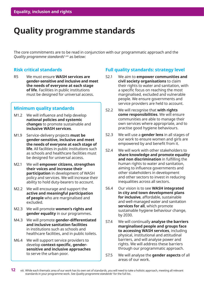# **Quality programme standards**

The core commitments are to be read in conjunction with our programmatic approach and the *Quality programme standards*1,viii as below:

### **Risk critical standards**

R5 We must ensure **WASH services are gender-sensitive and inclusive and meet the needs of everyone at each stage of life**. Facilities in public institutions must be designed for universal access.

### **Minimum quality standards**

- M1.2 We will influence and help develop **national policies and systemic changes** to promote sustainable and **inclusive WASH services**.
- M1.9 Service-delivery projects **must be gender-sensitive, inclusive and meet the needs of everyone at each stage of life**. All facilities in public institutions such as schools and healthcare facilities must be designed for universal access.
- M2.1 We will **empower citizens, strengthen their voices and increase their participation** in development of WASH policy and services. We will increase their ability to hold duty-bearers to account.
- M2.2 We will encourage and support the **active and meaningful participation of people** who are marginalised and excluded.
- M2.3 We will promote **women's rights and gender equality** in our programmes.
- M4.3 We will promote **gender-differentiated and inclusive sanitation facilities**  in institutions such as schools and healthcare facilities, and in public toilets.
- M6.4 We will support service providers to develop **context-specific, gendersensitive and inclusive approaches** to serve the urban poor.

### **Full quality standards: strategy level**

- S2.1 We aim to **empower communities and civil society organisations** to claim their rights to water and sanitation, with a specific focus on reaching the most marginalised, excluded and vulnerable people. We ensure governments and service providers are held to account.
- S2.2 We will recognise that **with rights come responsibilities**. We will ensure communities are able to manage their own services where appropriate, and to practise good hygiene behaviours.
- S2.3 We will use a **gender lens** in all stages of our work to ensure women and girls are empowered by and benefit from it.
- S2.4 We will work with other stakeholders to **share knowledge and promote equality and non discrimination** in fulfilling the human rights to water and sanitation, aiming to influence governments and other stakeholders in development and other sectors to invest in reducing inequalities across all sectors.
- S6.4 Our vision is to see **WASH integrated in city and town development plans for inclusive**, affordable, sustainable and well-managed water and sanitation **services for all**, which promote sustainable hygiene behaviour change, by 2030.
- S7.4 We will continually **analyse the barriers marginalised people and groups face to accessing WASH services**, including physical, institutional and attitudinal barriers, and will analyse power and rights. We will address these barriers through our programmatic approach.
- S7.5 We will analyse the **gender aspects** of all areas of our work.

**<sup>12</sup>**  viii. While each thematic area of our work has its own set of standards, you will need to take a holistic approach, meeting all relevant standards in your programme work. See *Quality programme standards*<sup>1</sup> for the full list.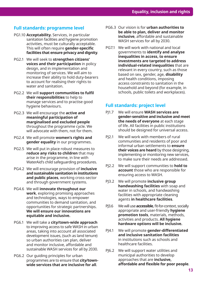### **Full standards: programme level**

- PG1.10 **Acceptability.** Services, in particular sanitation facilities and hygiene promotion activities, must be culturally acceptable. This will often require **gender-specific facilities that ensure privacy and dignity**.
- PG2.1 We will seek to **strengthen citizens' voices and their participation** in policy design, and in implementation and monitoring of services. We will aim to increase their ability to hold duty-bearers to account for realising their rights to water and sanitation.
- PG2.2 We will **support communities to fulfil their responsibilities** to help to manage services and to practise good hygiene behaviours.
- PG2.3 We will encourage the **active and meaningful participation of marginalised and excluded people**  throughout the programme cycle. We will advocate with them, not for them.
- PG2.4 We will promote **women's rights and gender equality** in our programmes.
- PG2.5 We will put in place robust measures to **reduce any risks to children** that may arise in the programme, in line with WaterAid's child safeguarding procedures.
- PG4.2 We will encourage provision of **inclusive and sustainable sanitation in institutions and public places**, working cross-sector and through government systems.
- PG4.6 We will **innovate throughout our work**, exploring promising approaches and technologies, ways to empower communities to demand sanitation, and opportunities for strategic partnerships. **We will ensure our innovations are equitable and inclusive.**
- PG6.1 We will take a **city/town-wide approach** to improving access to safe WASH in urban areas, taking into account all associated development issues, (such as land tenure) so urban authorities can plan, deliver and monitor inclusive, affordable and sustainable WASH services for all by 2030.
- PG6.2 Our guiding principles for urban programmes are to ensure that **city/townwide services that are inclusive for all**.
- PG6.3 Our vision is for **urban authorities to be able to plan, deliver and monitor inclusive**, affordable and sustainable WASH services for all by 2030.
- PG7.1 We will work with national and local governments to **identify and analyse inequalities in access, to ensure investments are targeted to address individual-related inequalities** that are relevant in every country, such as those based on sex, gender, age, **disability** and health conditions, imposing access constraints to sanitation in the household and beyond (for example, in schools, public toilets and workplaces).

### **Full standards: project level**

- PJ1.7 We will ensure **WASH services are gender-sensitive and inclusive and meet the needs of everyone** at each stage of life. All facilities in public institutions should be designed for universal access.
- PJ2.1 We will work with members of rural communities and residents of poor and informal urban settlements to **ensure their voices are heard** by those designing, implementing or monitoring new services, to make sure their needs are addressed.
- PJ2.2 We will support communities to **hold to account** those who are responsible for ensuring access to WASH.
- PJ3.2 We will promote **inclusive group handwashing facilities** with soap and water in schools, and handwashing facilities with appropriate cleaning agents **in healthcare facilities**.
- PJ3.6 We will use **accessible**, fit-for-context, socially appropriate and user-friendly **hygiene promotion tools**, materials, methods, activities and products. **All hygiene hardware options will be inclusive.**
- PJ4.1 We will promote **gender-differentiated and inclusive sanitation facilities**  in institutions such as schools and healthcare facilities.
- PI6.2 We will support water utilities and municipal authorities to develop approaches that are **inclusive, affordable and flexible for poor people**.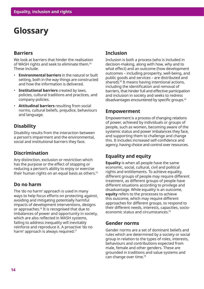# **Glossary**

# **Barriers**

We look at barriers that hinder the realisation of WASH rights and seek to eliminate them.<sup>14</sup> These include:

- **Environmental barriers** in the natural or built setting, both in the way things are constructed and how the information is delivered.
- **Institutional barriers** created by laws, policies, cultural traditions and practices, and company policies.
- **Attitudinal barriers** resulting from social norms, cultural beliefs, prejudice, behaviours and language.

# **Disability**

Disability results from the interaction between a person's impairment and the environmental, social and institutional barriers they face.

# **Discrimination**

Any distinction, exclusion or restriction which has the purpose or the effect of stopping or reducing a person's ability to enjoy or exercise their human rights on an equal basis as others.15

# **Do no harm**

The 'do no harm' approach is used in many ways to help focus efforts on protecting against, avoiding and mitigating potentially harmful impacts of development interventions, designs or approaches.<sup>16</sup> It is recognised that due to imbalances of power and opportunity in society, which are also reflected in WASH systems, failing to address inequality will inevitably reinforce and reproduce it. A proactive 'do no harm' approach is always required.17

# **Inclusion**

Inclusion is both a process (who is included in decision-making, along with how, why and to what effect) and an outcome (how development outcomes – including prosperity, well-being, and public goods and services – are distributed and shared).<sup>18</sup> It means having intentional actions, including the identification and removal of barriers, that hinder full and effective participation and inclusion in society and seeks to redress disadvantages encountered by specific groups.<sup>14</sup>

# **Empowerment**

Empowerment is a process of changing relations of power, achieved by individuals or groups of people, such as women, becoming aware of the systemic status and power imbalances they face, and supporting them to challenge and change this. It includes increased self-confidence and agency, having choice and control over resources.

# **Equality and equity**

**Equality** is when all people have the same economic, social, cultural, civil and political rights and entitlements. To achieve equality, different groups of people may require different treatment, as different groups of people have different situations according to privilege and disadvantage. While equality is an outcome, **equity** refers to the processes to achieve this outcome, which may require different approaches for different groups, to respond to their different needs, interests, capacities, socioeconomic status and circumstances.<sup>14</sup>

# **Gender norms**

Gender norms are a set of dominant beliefs and rules which are determined by a society or social group in relation to the types of roles, interests, behaviours and contributions expected from male, female and other genders. These are grounded in traditions and value systems and can change over time.<sup>19</sup>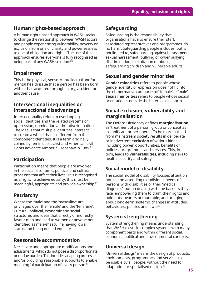# **Human rights-based approach**

A human rights-based approach in WASH seeks to change the relationship between WASH actors and people experiencing vulnerability, poverty or exclusion from one of charity and powerlessness to one of obligation and rights. The use of this approach ensures everyone is fully recognised as being part of any WASH solution.20

# **Impairment**

This is the physical, sensory, intellectual and/or mental health issue that a person has been born with or has acquired through injury, accident or another cause.

### **Intersectional inequalities or intersectional disadvantage**

Intersectionality refers to overlapping social identities and the related systems of oppression, domination and/or discrimination. The idea is that multiple identities intersect to create a whole that is different from the component identities. It is a term originally coined by feminist socialist and American civil rights advocate Kimberlé Crenshaw in 1989.<sup>21</sup>

# **Participation**

Participation means that people are involved in the social, economic, political and cultural processes that affect their lives. This is recognised as a right. To achieve equality, this must be meaningful, appropriate and provide ownership.<sup>22</sup>

# **Patriarchy**

Where the 'male' and the 'masculine' are privileged over the 'female' and the 'feminine'. Cultural, political, economic and social structures and ideas that directly or indirectly favour men and lead to women or anyone not identified as male/masculine having lower status and being denied equality.

# **Reasonable accommodation**

Necessary and appropriate modifications and adjustments, which do not pose a disproportionate or undue burden. This includes adapting processes and/or providing reasonable supports to enable meaningful participation of every person.<sup>14</sup>

# **Safeguarding**

Safeguarding is the responsibility that organisations have to ensure their staff, associated representatives and programmes 'do no harm'. Safeguarding people includes, but is not limited to, safeguarding against harassment, sexual harassment, bullying or cyber bullying, discrimination, exploitation or abuse, safeguarding children and vulnerable adults.<sup>12</sup>

# **Sexual and gender minorities**

**Gender minorities** refers to people whose gender identity or expression does not fit into the cis-normative categories of 'female' or 'male'. **Sexual minorities** refers to people whose sexual orientation is outside the heterosexual norm.

# **Social exclusion, vulnerability and marginalisation**

The Oxford Dictionary defines **marginalisation** as 'treatment of a person, group or concept as insignificant or peripheral'. To be marginalised from mainstream society results in deliberate or inadvertent **exclusion** of various kinds, including power, opportunities, benefits of policies, programmes and services. This, in turn, leads to **vulnerabilities**, including risks to health, security and safety.

# **Social model of disability**

The social model of disability focuses attention not just on attending to individual needs of persons with disabilities or their 'medical diagnosis', but on dealing with the barriers they face, empowering them to claim their rights and hold duty-bearers accountable, and bringing about long-term systemic changes in attitudes, behaviours, policies and laws.<sup>23</sup>

# **System strengthening**

System strengthening means understanding that WASH exists in complex systems with many component parts and within different social, economic, political and environmental contexts.

# **Universal design**

'Universal design' means the design of products, environments, programmes and services to be usable by all people, without the need for adaptation or specialised design.24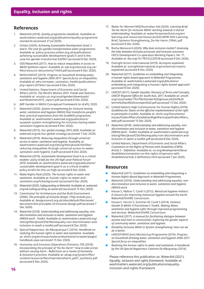### **References**

- 1. WaterAid (2018). *Quality programme standards*. Available at: washmatters.wateraid.org/publications/quality-programmestandards (accessed 27 Jul 2020).
- 2. Oxfam (2020). *Achieving Sustainable Development Goals 5 and 6: The case for gender-transformative water programmes*. Available at: policy-practice.oxfam.org.uk/publications/ achieving-sustainable-development-goals-5-and-6-thecase-for-gender-transformat-620967 (accessed 8 Dec 2020).
- 3. ODI/WaterAid (2017). *How to reduce inequalities in access to WASH Synthesis report*. Available at: odi.org/sites/odi.org.uk/ files/resource-documents/11604.pdf (accessed 8 Dec 2020).
- 4. WHO/UNICEF (2019). *Progress on household drinking water, sanitation and hygiene 2000-2017. Special focus on inequalities*. Available at: who.int/water\_sanitation\_health/publications/ jmp-report-2019/en/ (accessed 8 Dec 2020).
- 5. United Nations, Department of Economic and Social Affairs (2015). *The World's Women 2015: Trends and Statistics*. Available at: unstats.un.org/unsd/gender/downloads/ worldswomen2015\_report.pdf (accessed 8 Dec 2020).
- 6. JMP Gender in WASH Conceptual Framework (in draft), 2020.
- 7. WaterAid (2020). *System strengthening for inclusive lasting water, sanitation and hygiene (WASH) that transforms people's lives: practical experiences from the SusWASH programme*. Available at: washmatters.wateraid.org/publications/ suswash-system-strengthening-for-inclusive-lasting-watersanitation-hygiene (accessed 8 Dec 2020).
- 8. WaterAid (2015). *Our global strategy 2015-2020*. Available at: wateraid.org/uk/our-global-strategy (accessed 7 Dec 2020).
- 9. WaterAid (2019). *Reducing inequalities through universal access to water, sanitation and hygiene*. Available at: washmatters.wateraid.org/sites/g/files/jkxoof256/files/ reducing-inequalities-through-universal-access-to-watersanitation-and-hygiene\_0.pdf (accessed 8 Dec 2020).
- 10. WaterAid (2019). *Sustainable Development Goal 6 as a critical enabler: policy briefs for the UN High Level Political Forum 2019*. Available at: washmatters.wateraid.org/publications/ sustainable-development-goal-6-as-a-critical-enablerpolicy-briefs-for-the-un-high (accessed 8 Dec 2020).
- 11. Make Rights Real (2020). *The human rights to water and sanitation*. Available at: human-rights-to-water-andsanitation.org/hrbackground/ (accessed 8 Dec 2020).
- 12. WaterAid (2020). S*afeguarding at WaterAid*. Available at: wateraid. org/uk/safeguarding-at-wateraid (accessed 15 Dec 2020).
- 13. Commission for Architecture and the Built Environment (2006). *The principles of inclusive design. (They include you.)*. Available at: designcouncil.org.uk/sites/default/files/asset/ document/the-principles-of-inclusive-design.pdf (accessed 7 Dec 2020).
- 14. WaterAid (2018). *Understanding and addressing equality, nondiscrimination and inclusion in water, sanitation and hygiene (WASH) work - Toolkit*. Available at: washmatters.wateraid.org/ sites/g/files/jkxoof256/files/equality-non-discrimination-andinclusion-in-wash-a-toolkit.pdf (accessed 8 Dec 2020).
- 15. Special Rapporteur, de Albuquerque C (2014). *Handbook on realizing the human rights to water and sanitation*. Available at: ohchr.org/en/issues/waterandsanitation/srwater/pages/ handbook.aspx (accessed 15 Dec 2020).
- 16. Humanity and Inclusion (Operations Division), F3E (2018). *Incorporating the principle of "Do No Harm": How to take action without causing harm - Reflections on a review of Humanity & Inclusion's practices*. Available at: alnap.org/system/files/ content/resource/files/main/donoharm\_pe07\_synthesis.pdf (accessed 8 Dec 2020).
- 17. Water for Women/SND/Australian Aid (2020). *Learning Brief: 'Do No Harm' for inclusive WASH: working towards a shared understanding*. Available at: waterforwomenfund.org/en/ learning-and-resources/resources/GSI/WfW-SNV-Learning-Brief\_Systems-Strengthening\_Do-No-Harm\_FINAL.pdf (accessed 8 Dec 2020).
- 18. Rocha Menocal A (2020). *Why does inclusion matter?: Assessing the links between inclusive processes and inclusive outcomes*. OECD Development Co-operation Working Papers, No. 71. Available at: doi.org/10.1787/22220518 (accessed 8 Dec 2020).
- 19. Outright Action International (2019). *Acronyms explained*. Available at: outrightinternational.org/content/acronymsexplained (accessed 8 Dec 2020).
- 20. WaterAid (2017). *Guidelines on embedding and integrating a human rights-based approach in WaterAid Programmes*. Available at: washmatters.wateraid.org/publications/ embedding-and-integrating-a-human-rights-based-approach (accessed 8 Dec 2020).
- 21. UNICEF (2017). *Gender Equality: Glossary of Terms and Concepts, UNICEF Regional Office for South Asia, 2017*. Available at: unicef. org/rosa/media/1761/file/Gender%20glossary%20of%20 terms%20and%20concepts%20.pdf (accessed 15 Dec 2020).
- 22. United Nations High Commissioner for Human Rights (2018). *Guidelines for States on the effective implementation of the right to participate in public*. Available at: ohchr.org/Documents/ Issues/PublicAffairs/GuidelinesRightParticipatePublicAffairs\_ web.pdf (accessed 15 Dec 2020).
- 23. WaterAid (2018). *Understanding and addressing equality, nondiscrimination and inclusion in water, sanitation and hygiene (WASH) work - Toolkit*. Available at: washmatters.wateraid.org/ sites/g/files/jkxoof256/files/equality-non-discrimination-andinclusion-in-wash-a-toolkit.pdf (accessed 8 Dec 2020).
- 24. United Nations, Department of Economic and Social Affairs. *Convention on the Rights of Persons with Disabilities (CRPD). Article 2 – Definition*. Available at: un.org/development/desa/ disabilities/convention-on-the-rights-of-persons-withdisabilities/article-2-definitions.html (accessed 7 Jan 2020).

### **Resources**

- WaterAid (2017). *[Guidelines on embedding and integrating a](https://washmatters.wateraid.org/sites/g/files/jkxoof256/files/Guidelines%20on%20embedding%20and%20integrating%20a%20human%20rights-based%20approach.pdf)  [Human Rights-Based Approach in WaterAid Programmes](https://washmatters.wateraid.org/sites/g/files/jkxoof256/files/Guidelines%20on%20embedding%20and%20integrating%20a%20human%20rights-based%20approach.pdf)*.
- WaterAid (2018). *[Understanding and addressing equality, non](https://washmatters.wateraid.org/sites/g/files/jkxoof256/files/equality-non-discrimination-and-inclusion-in-wash-a-toolkit.pdf)[discrimination and inclusion in water, sanitation and hygiene](https://washmatters.wateraid.org/sites/g/files/jkxoof256/files/equality-non-discrimination-and-inclusion-in-wash-a-toolkit.pdf)  [\(WASH\) work](https://washmatters.wateraid.org/sites/g/files/jkxoof256/files/equality-non-discrimination-and-inclusion-in-wash-a-toolkit.pdf)*.
- House S, Mahon T, Cavill S (2012). *[Menstrual hygiene matters:](https://washmatters.wateraid.org/publications/menstrual-hygiene-matters)  [A resource for improving menstrual hygiene around the world](https://washmatters.wateraid.org/publications/menstrual-hygiene-matters)*. WaterAid/SHARE Consortium.
- House S, Ferron S, Sommer M, Cavill S (2014). *[Violence,](https://washmatters.wateraid.org/publications/violence-gender-and-wash-toolkit)  [Gender & WASH: A Practitioner's Toolkit. Making Water,](https://washmatters.wateraid.org/publications/violence-gender-and-wash-toolkit)  [sanitation and hygiene safer through improved programming](https://washmatters.wateraid.org/publications/violence-gender-and-wash-toolkit)  [and services](https://washmatters.wateraid.org/publications/violence-gender-and-wash-toolkit)*. WaterAid/SHARE Consortium.
- WaterAid (2017). *[A manual for facilitating dialogue between](https://violence-wash.lboro.ac.uk/)  [women and men in communities: exploring the gender aspects](https://violence-wash.lboro.ac.uk/)  [of community water, sanitation and hygiene](https://violence-wash.lboro.ac.uk/)*.
- *[Disability Inclusive WASH in System strengthening: How can we](https://washmatters.wateraid.org/publications/lifting-and-shifting-womens-household-work-burden-community-water-sanitation-hygiene)  [do it better](https://washmatters.wateraid.org/publications/lifting-and-shifting-womens-household-work-burden-community-water-sanitation-hygiene)*.
- UNICEF/WHO Joint Monitoring Programme (2019). *[Progress](https://washdata.org/sites/default/files/documents/reports/2019-07/jmp-2019-wash-households.pdf)  [on household drinking water, sanitation and hygiene 2000-2017.](https://washdata.org/sites/default/files/documents/reports/2019-07/jmp-2019-wash-households.pdf)  [Special focus on inequalities](https://washdata.org/sites/default/files/documents/reports/2019-07/jmp-2019-wash-households.pdf)*.
- *[Realising the human rights to water and sanitation: A handbook](https://www.ohchr.org/Documents/Issues/Water/Handbook/Book1_intro_.pdf)  [by the UN Special Rapporteur Catarina De Albuquerqu](https://www.ohchr.org/Documents/Issues/Water/Handbook/Book1_intro_.pdf)* (2014).

Please reference this publication as: WaterAid (2021). *Equality, inclusion and rights framework.* Available at: [washmatters.wateraid.org/publications/equality](washmatters.wateraid.org/publications/equality-inclusion-and-rights-framework)inclusion-and-rights-framework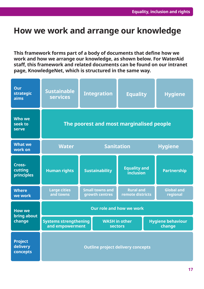# **How we work and arrange our knowledge**

**This framework forms part of a body of documents that define how we work and how we arrange our knowledge, as shown below. For WaterAid staff, this framework and related documents can be found on our intranet page, KnowledgeNet, which is structured in the same way.**

| Our<br><b>strategic</b><br>aims        | <b>Sustainable</b><br><b>services</b>           |                                          | <b>Integration</b>                     | <b>Equality</b>                      |                                    | <b>Hygiene</b>                |  |  |  |
|----------------------------------------|-------------------------------------------------|------------------------------------------|----------------------------------------|--------------------------------------|------------------------------------|-------------------------------|--|--|--|
| <b>Who we</b><br>seek to<br>serve      | The poorest and most marginalised people        |                                          |                                        |                                      |                                    |                               |  |  |  |
| <b>What we</b><br>work on              | <b>Water</b>                                    | <b>Sanitation</b>                        |                                        |                                      |                                    | <b>Hygiene</b>                |  |  |  |
| Cross-<br>cutting<br>principles        | <b>Human rights</b>                             | <b>Sustainability</b>                    |                                        | <b>Equality and</b><br>inclusion     |                                    | <b>Partnership</b>            |  |  |  |
| <b>Where</b><br>we work                | <b>Large cities</b><br>and towns                | <b>Small towns and</b><br>growth centres |                                        | <b>Rural and</b><br>remote districts |                                    | <b>Global and</b><br>regional |  |  |  |
| <b>How we</b><br>bring about<br>change | <b>Our role and how we work</b>                 |                                          |                                        |                                      |                                    |                               |  |  |  |
|                                        | <b>Systems strengthening</b><br>and empowerment |                                          | <b>WASH</b> in other<br><b>sectors</b> |                                      | <b>Hygiene behaviour</b><br>change |                               |  |  |  |
| <b>Project</b><br>delivery<br>concepts | <b>Outline project delivery concepts</b>        |                                          |                                        |                                      |                                    |                               |  |  |  |